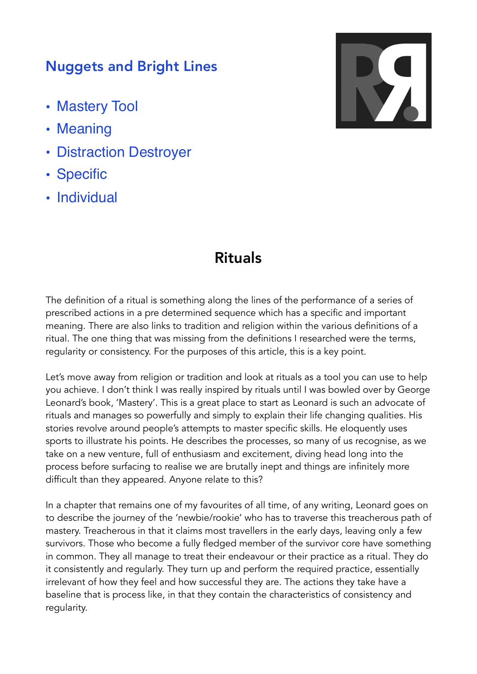## Nuggets and Bright Lines

- Mastery Tool
- Meaning
- Distraction Destroyer
- Specific
- Individual



## Rituals

The definition of a ritual is something along the lines of the performance of a series of prescribed actions in a pre determined sequence which has a specific and important meaning. There are also links to tradition and religion within the various definitions of a ritual. The one thing that was missing from the definitions I researched were the terms, regularity or consistency. For the purposes of this article, this is a key point.

Let's move away from religion or tradition and look at rituals as a tool you can use to help you achieve. I don't think I was really inspired by rituals until I was bowled over by George Leonard's book, 'Mastery'. This is a great place to start as Leonard is such an advocate of rituals and manages so powerfully and simply to explain their life changing qualities. His stories revolve around people's attempts to master specific skills. He eloquently uses sports to illustrate his points. He describes the processes, so many of us recognise, as we take on a new venture, full of enthusiasm and excitement, diving head long into the process before surfacing to realise we are brutally inept and things are infinitely more difficult than they appeared. Anyone relate to this?

In a chapter that remains one of my favourites of all time, of any writing, Leonard goes on to describe the journey of the 'newbie/rookie' who has to traverse this treacherous path of mastery. Treacherous in that it claims most travellers in the early days, leaving only a few survivors. Those who become a fully fledged member of the survivor core have something in common. They all manage to treat their endeavour or their practice as a ritual. They do it consistently and regularly. They turn up and perform the required practice, essentially irrelevant of how they feel and how successful they are. The actions they take have a baseline that is process like, in that they contain the characteristics of consistency and regularity.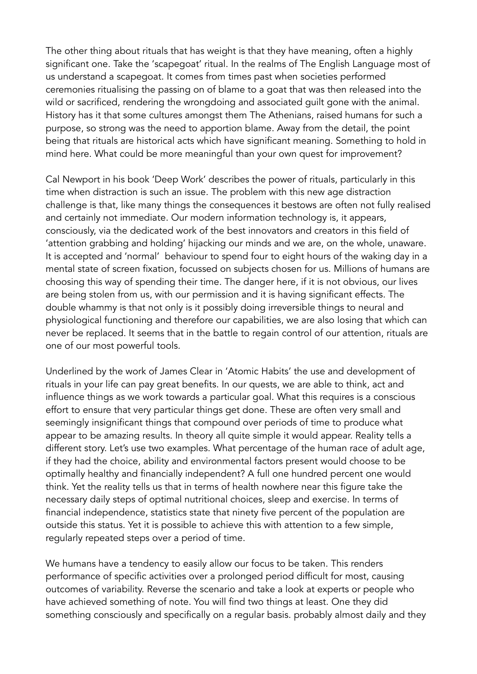The other thing about rituals that has weight is that they have meaning, often a highly significant one. Take the 'scapegoat' ritual. In the realms of The English Language most of us understand a scapegoat. It comes from times past when societies performed ceremonies ritualising the passing on of blame to a goat that was then released into the wild or sacrificed, rendering the wrongdoing and associated guilt gone with the animal. History has it that some cultures amongst them The Athenians, raised humans for such a purpose, so strong was the need to apportion blame. Away from the detail, the point being that rituals are historical acts which have significant meaning. Something to hold in mind here. What could be more meaningful than your own quest for improvement?

Cal Newport in his book 'Deep Work' describes the power of rituals, particularly in this time when distraction is such an issue. The problem with this new age distraction challenge is that, like many things the consequences it bestows are often not fully realised and certainly not immediate. Our modern information technology is, it appears, consciously, via the dedicated work of the best innovators and creators in this field of 'attention grabbing and holding' hijacking our minds and we are, on the whole, unaware. It is accepted and 'normal' behaviour to spend four to eight hours of the waking day in a mental state of screen fixation, focussed on subjects chosen for us. Millions of humans are choosing this way of spending their time. The danger here, if it is not obvious, our lives are being stolen from us, with our permission and it is having significant effects. The double whammy is that not only is it possibly doing irreversible things to neural and physiological functioning and therefore our capabilities, we are also losing that which can never be replaced. It seems that in the battle to regain control of our attention, rituals are one of our most powerful tools.

Underlined by the work of James Clear in 'Atomic Habits' the use and development of rituals in your life can pay great benefits. In our quests, we are able to think, act and influence things as we work towards a particular goal. What this requires is a conscious effort to ensure that very particular things get done. These are often very small and seemingly insignificant things that compound over periods of time to produce what appear to be amazing results. In theory all quite simple it would appear. Reality tells a different story. Let's use two examples. What percentage of the human race of adult age, if they had the choice, ability and environmental factors present would choose to be optimally healthy and financially independent? A full one hundred percent one would think. Yet the reality tells us that in terms of health nowhere near this figure take the necessary daily steps of optimal nutritional choices, sleep and exercise. In terms of financial independence, statistics state that ninety five percent of the population are outside this status. Yet it is possible to achieve this with attention to a few simple, regularly repeated steps over a period of time.

We humans have a tendency to easily allow our focus to be taken. This renders performance of specific activities over a prolonged period difficult for most, causing outcomes of variability. Reverse the scenario and take a look at experts or people who have achieved something of note. You will find two things at least. One they did something consciously and specifically on a regular basis. probably almost daily and they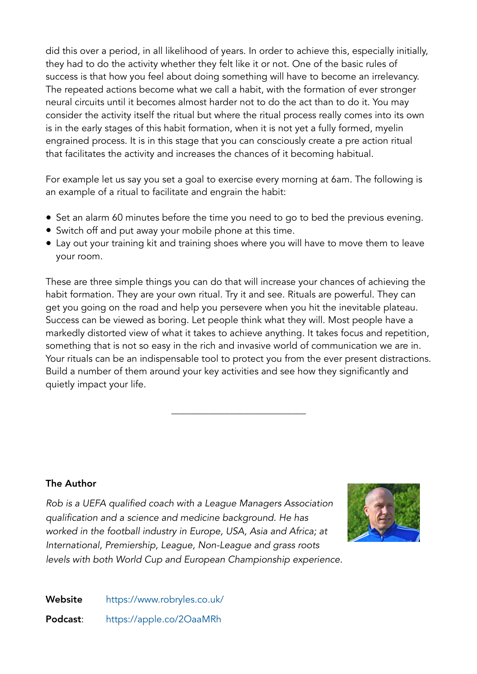did this over a period, in all likelihood of years. In order to achieve this, especially initially, they had to do the activity whether they felt like it or not. One of the basic rules of success is that how you feel about doing something will have to become an irrelevancy. The repeated actions become what we call a habit, with the formation of ever stronger neural circuits until it becomes almost harder not to do the act than to do it. You may consider the activity itself the ritual but where the ritual process really comes into its own is in the early stages of this habit formation, when it is not yet a fully formed, myelin engrained process. It is in this stage that you can consciously create a pre action ritual that facilitates the activity and increases the chances of it becoming habitual.

For example let us say you set a goal to exercise every morning at 6am. The following is an example of a ritual to facilitate and engrain the habit:

- Set an alarm 60 minutes before the time you need to go to bed the previous evening.
- Switch off and put away your mobile phone at this time.
- Lay out your training kit and training shoes where you will have to move them to leave your room.

These are three simple things you can do that will increase your chances of achieving the habit formation. They are your own ritual. Try it and see. Rituals are powerful. They can get you going on the road and help you persevere when you hit the inevitable plateau. Success can be viewed as boring. Let people think what they will. Most people have a markedly distorted view of what it takes to achieve anything. It takes focus and repetition, something that is not so easy in the rich and invasive world of communication we are in. Your rituals can be an indispensable tool to protect you from the ever present distractions. Build a number of them around your key activities and see how they significantly and quietly impact your life.

\_\_\_\_\_\_\_\_\_\_\_\_\_\_\_\_\_\_\_\_\_\_\_\_\_\_\_\_

## The Author

*Rob is a UEFA qualified coach with a League Managers Association qualification and a science and medicine background. He has worked in the football industry in Europe, USA, Asia and Africa; at International, Premiership, League, Non-League and grass roots levels with both World Cup and European Championship experience.* 



Website <https://www.robryles.co.uk/> Podcast: <https://apple.co/2OaaMRh>